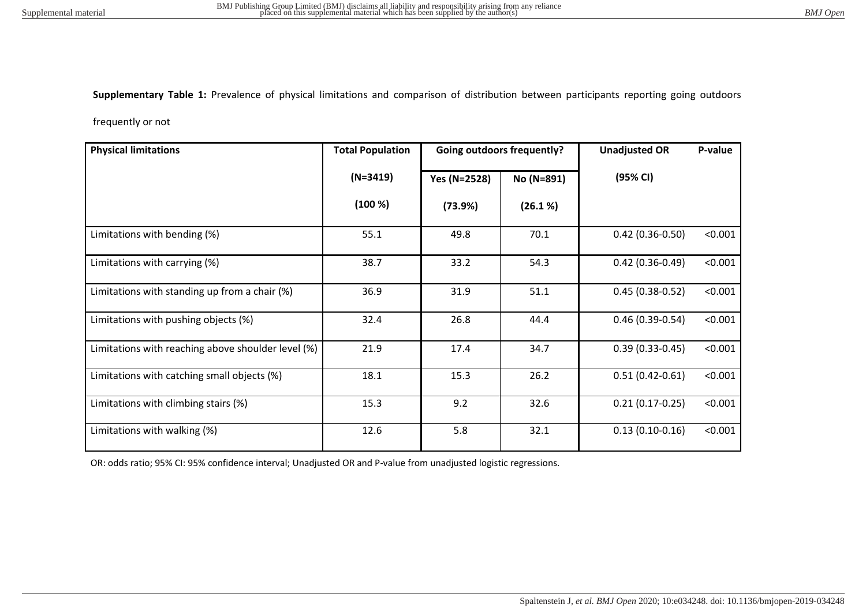**Supplementary Table 1:** Prevalence of physical limitations and comparison of distribution between participants reporting going outdoors

frequently or not

| <b>Physical limitations</b>                        | <b>Total Population</b> | <b>Going outdoors frequently?</b> |            | <b>Unadjusted OR</b> | P-value |
|----------------------------------------------------|-------------------------|-----------------------------------|------------|----------------------|---------|
|                                                    | $(N=3419)$              | Yes (N=2528)                      | No (N=891) | (95% CI)             |         |
|                                                    | (100 %)                 | (73.9%)                           | (26.1 %)   |                      |         |
| Limitations with bending (%)                       | 55.1                    | 49.8                              | 70.1       | $0.42(0.36-0.50)$    | < 0.001 |
| Limitations with carrying (%)                      | 38.7                    | 33.2                              | 54.3       | $0.42(0.36 - 0.49)$  | < 0.001 |
| Limitations with standing up from a chair (%)      | 36.9                    | 31.9                              | 51.1       | $0.45(0.38-0.52)$    | < 0.001 |
| Limitations with pushing objects (%)               | 32.4                    | 26.8                              | 44.4       | $0.46(0.39-0.54)$    | < 0.001 |
| Limitations with reaching above shoulder level (%) | 21.9                    | 17.4                              | 34.7       | $0.39(0.33 - 0.45)$  | < 0.001 |
| Limitations with catching small objects (%)        | 18.1                    | 15.3                              | 26.2       | $0.51(0.42 - 0.61)$  | < 0.001 |
| Limitations with climbing stairs (%)               | 15.3                    | 9.2                               | 32.6       | $0.21(0.17-0.25)$    | < 0.001 |
| Limitations with walking (%)                       | 12.6                    | 5.8                               | 32.1       | $0.13(0.10-0.16)$    | < 0.001 |

OR: odds ratio; 95% CI: 95% confidence interval; Unadjusted OR and P-value from unadjusted logistic regressions.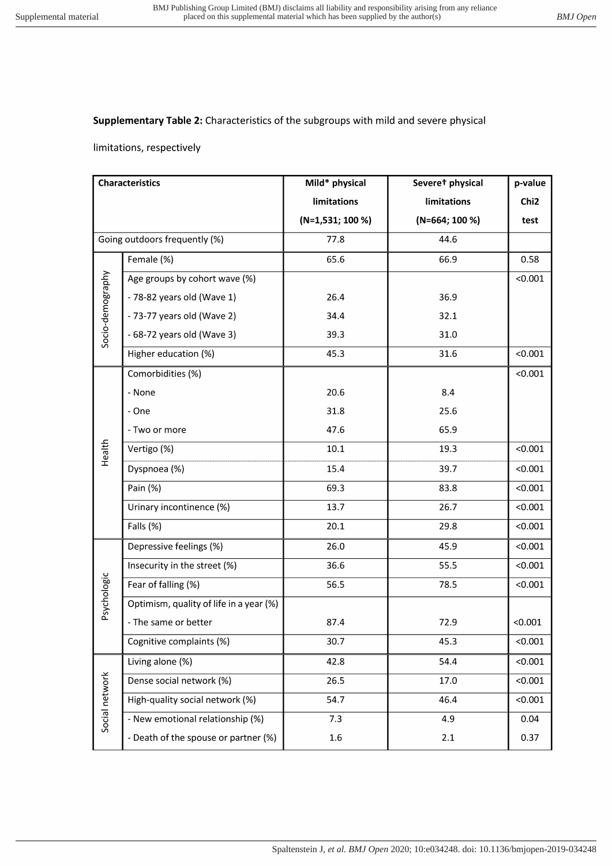## Supplementary Table 2: Characteristics of the subgroups with mild and severe physical

## limitations, respectively

| <b>Characteristics</b>        |                                         | Mild* physical     | Severet physical | p-value          |
|-------------------------------|-----------------------------------------|--------------------|------------------|------------------|
|                               |                                         | <b>limitations</b> | limitations      | Chi <sub>2</sub> |
|                               |                                         | $(N=1,531; 100%)$  | $(N=664; 100 %$  | test             |
| Going outdoors frequently (%) |                                         | 77.8               | 44.6             |                  |
| Socio-demography              | Female (%)                              | 65.6               | 66.9             | 0.58             |
|                               | Age groups by cohort wave (%)           |                    |                  | < 0.001          |
|                               | - 78-82 years old (Wave 1)              | 26.4               | 36.9             |                  |
|                               | - 73-77 years old (Wave 2)              | 34.4               | 32.1             |                  |
|                               | - 68-72 years old (Wave 3)              | 39.3               | 31.0             |                  |
|                               | Higher education (%)                    | 45.3               | 31.6             | < 0.001          |
| Health                        | Comorbidities (%)                       |                    |                  | < 0.001          |
|                               | - None                                  | 20.6               | 8.4              |                  |
|                               | - One                                   | 31.8               | 25.6             |                  |
|                               | - Two or more                           | 47.6               | 65.9             |                  |
|                               | Vertigo (%)                             | $10.1\,$           | 19.3             | < 0.001          |
|                               | Dyspnoea (%)                            | 15.4               | 39.7             | < 0.001          |
|                               | Pain (%)                                | 69.3               | 83.8             | < 0.001          |
|                               | Urinary incontinence (%)                | 13.7               | 26.7             | < 0.001          |
|                               | Falls (%)                               | 20.1               | 29.8             | < 0.001          |
| Psychologic                   | Depressive feelings (%)                 | 26.0               | 45.9             | < 0.001          |
|                               | Insecurity in the street (%)            | 36.6               | 55.5             | < 0.001          |
|                               | Fear of falling (%)                     | 56.5               | 78.5             | < 0.001          |
|                               | Optimism, quality of life in a year (%) |                    |                  |                  |
|                               | - The same or better                    | 87.4               | 72.9             | < 0.001          |
|                               | Cognitive complaints (%)                | 30.7               | 45.3             | < 0.001          |
| Social network                | Living alone (%)                        | 42.8               | 54.4             | < 0.001          |
|                               | Dense social network (%)                | 26.5               | 17.0             | < 0.001          |
|                               | High-quality social network (%)         | 54.7               | 46.4             | < 0.001          |
|                               | - New emotional relationship (%)        | 7.3                | 4.9              | 0.04             |
|                               | - Death of the spouse or partner (%)    | $1.6\,$            | 2.1              | 0.37             |